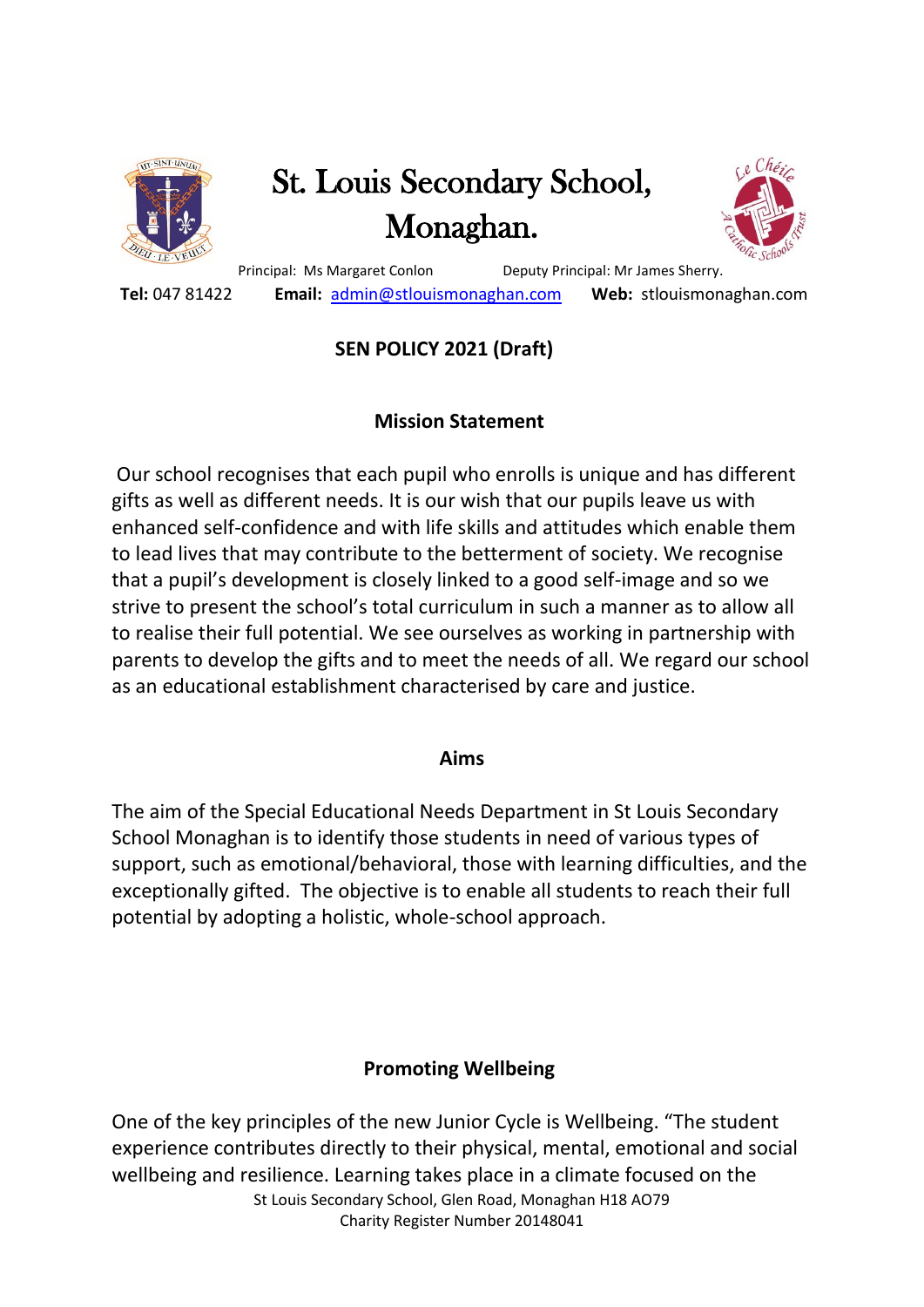

# St. Louis Secondary School, Monaghan.



 Principal: Ms Margaret Conlon Deputy Principal: Mr James Sherry.  **Tel:** 047 81422 **Email:** [admin@stlouismonaghan.com](mailto:admin@stlouismonaghan.com) **Web:** stlouismonaghan.com

# **SEN POLICY 2021 (Draft)**

# **Mission Statement**

Our school recognises that each pupil who enrolls is unique and has different gifts as well as different needs. It is our wish that our pupils leave us with enhanced self-confidence and with life skills and attitudes which enable them to lead lives that may contribute to the betterment of society. We recognise that a pupil's development is closely linked to a good self-image and so we strive to present the school's total curriculum in such a manner as to allow all to realise their full potential. We see ourselves as working in partnership with parents to develop the gifts and to meet the needs of all. We regard our school as an educational establishment characterised by care and justice.

#### **Aims**

The aim of the Special Educational Needs Department in St Louis Secondary School Monaghan is to identify those students in need of various types of support, such as emotional/behavioral, those with learning difficulties, and the exceptionally gifted. The objective is to enable all students to reach their full potential by adopting a holistic, whole-school approach.

# **Promoting Wellbeing**

St Louis Secondary School, Glen Road, Monaghan H18 AO79 Charity Register Number 20148041 One of the key principles of the new Junior Cycle is Wellbeing. "The student experience contributes directly to their physical, mental, emotional and social wellbeing and resilience. Learning takes place in a climate focused on the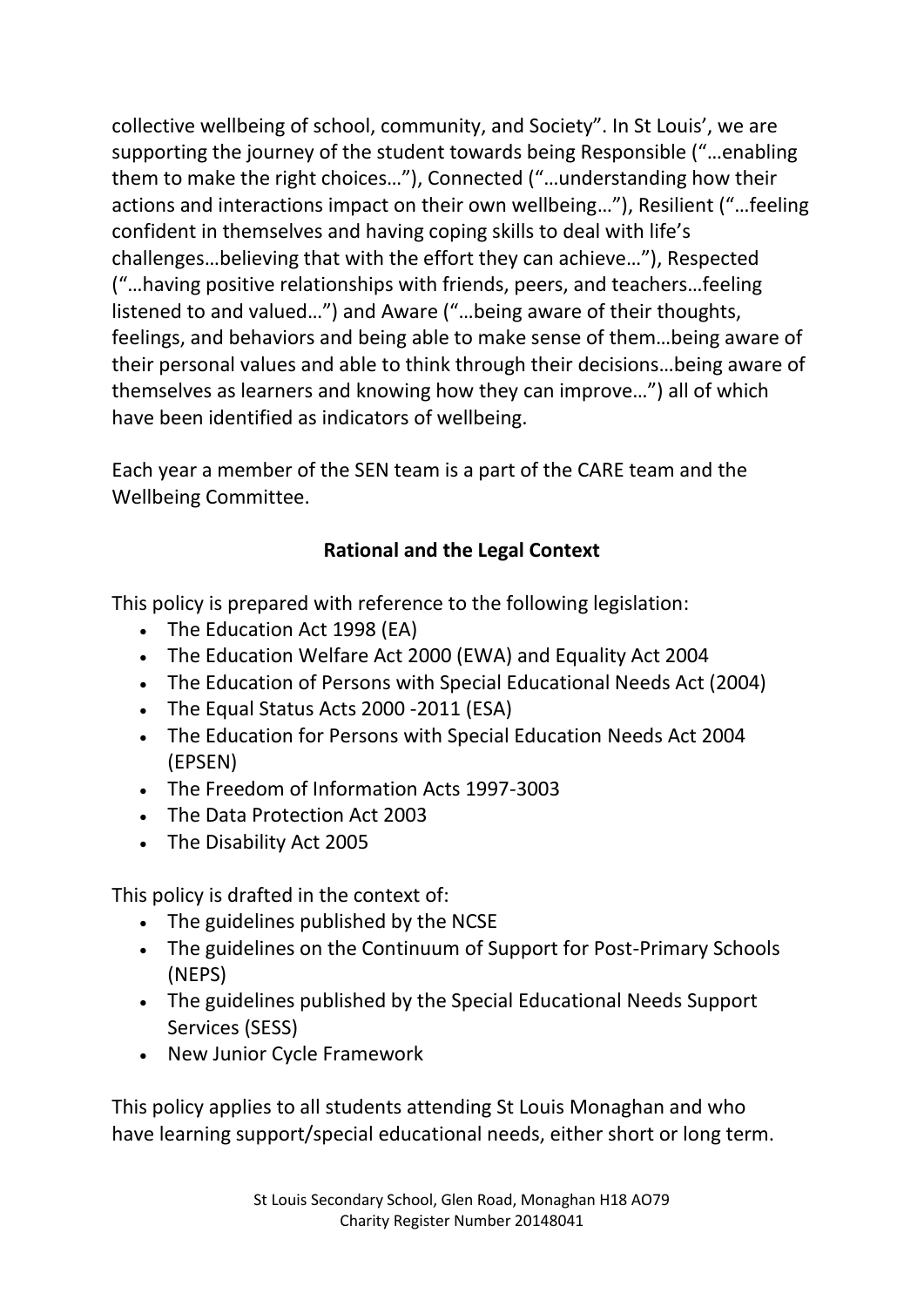collective wellbeing of school, community, and Society". In St Louis', we are supporting the journey of the student towards being Responsible ("…enabling them to make the right choices…"), Connected ("…understanding how their actions and interactions impact on their own wellbeing…"), Resilient ("…feeling confident in themselves and having coping skills to deal with life's challenges…believing that with the effort they can achieve…"), Respected ("…having positive relationships with friends, peers, and teachers…feeling listened to and valued…") and Aware ("…being aware of their thoughts, feelings, and behaviors and being able to make sense of them…being aware of their personal values and able to think through their decisions…being aware of themselves as learners and knowing how they can improve…") all of which have been identified as indicators of wellbeing.

Each year a member of the SEN team is a part of the CARE team and the Wellbeing Committee.

# **Rational and the Legal Context**

This policy is prepared with reference to the following legislation:

- The Education Act 1998 (EA)
- The Education Welfare Act 2000 (EWA) and Equality Act 2004
- The Education of Persons with Special Educational Needs Act (2004)
- The Equal Status Acts 2000 -2011 (ESA)
- The Education for Persons with Special Education Needs Act 2004 (EPSEN)
- The Freedom of Information Acts 1997-3003
- The Data Protection Act 2003
- The Disability Act 2005

This policy is drafted in the context of:

- The guidelines published by the NCSE
- The guidelines on the Continuum of Support for Post-Primary Schools (NEPS)
- The guidelines published by the Special Educational Needs Support Services (SESS)
- New Junior Cycle Framework

This policy applies to all students attending St Louis Monaghan and who have learning support/special educational needs, either short or long term.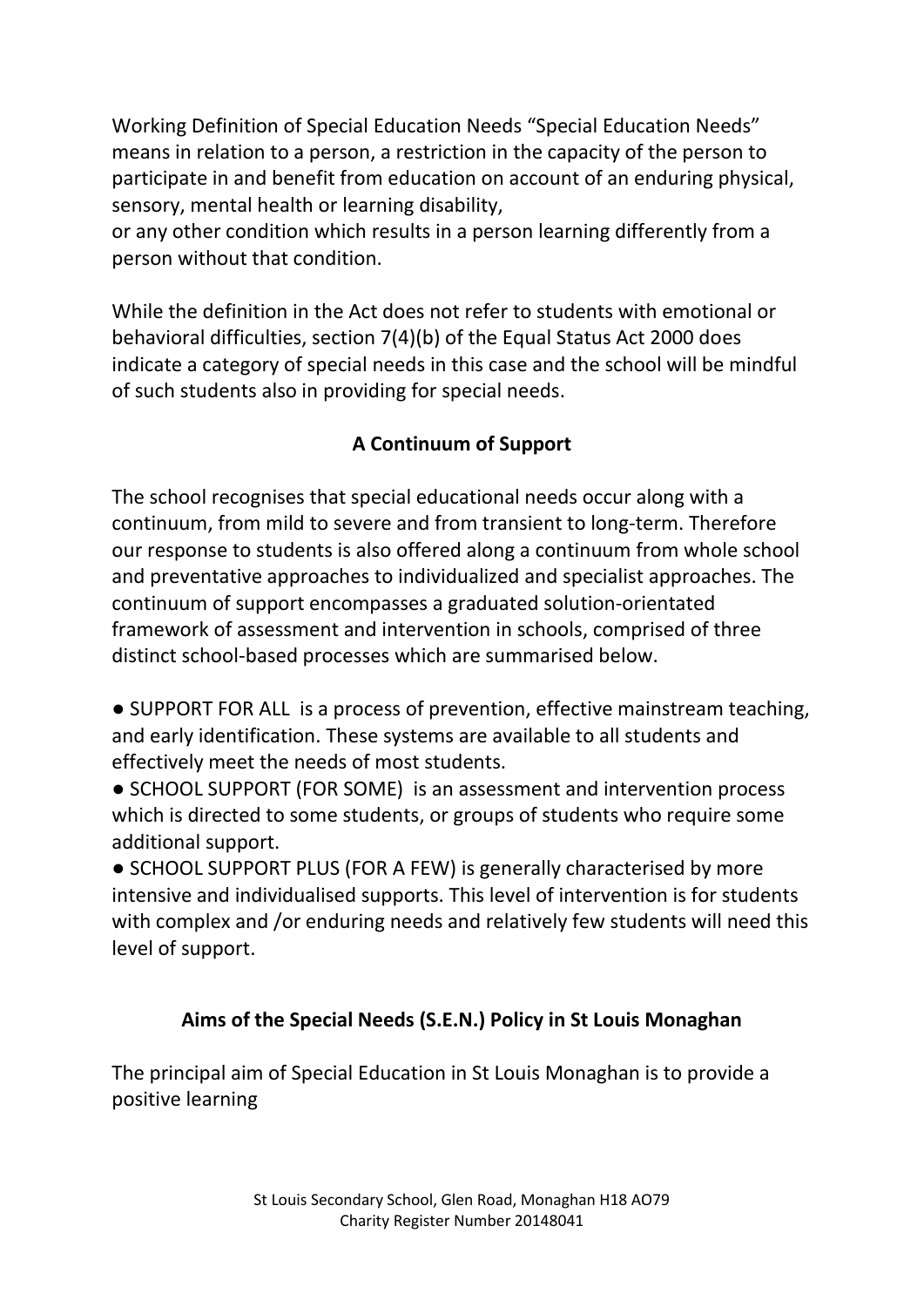Working Definition of Special Education Needs "Special Education Needs" means in relation to a person, a restriction in the capacity of the person to participate in and benefit from education on account of an enduring physical, sensory, mental health or learning disability,

or any other condition which results in a person learning differently from a person without that condition.

While the definition in the Act does not refer to students with emotional or behavioral difficulties, section 7(4)(b) of the Equal Status Act 2000 does indicate a category of special needs in this case and the school will be mindful of such students also in providing for special needs.

# **A Continuum of Support**

The school recognises that special educational needs occur along with a continuum, from mild to severe and from transient to long-term. Therefore our response to students is also offered along a continuum from whole school and preventative approaches to individualized and specialist approaches. The continuum of support encompasses a graduated solution-orientated framework of assessment and intervention in schools, comprised of three distinct school-based processes which are summarised below.

● SUPPORT FOR ALL is a process of prevention, effective mainstream teaching, and early identification. These systems are available to all students and effectively meet the needs of most students.

● SCHOOL SUPPORT (FOR SOME) is an assessment and intervention process which is directed to some students, or groups of students who require some additional support.

● SCHOOL SUPPORT PLUS (FOR A FEW) is generally characterised by more intensive and individualised supports. This level of intervention is for students with complex and /or enduring needs and relatively few students will need this level of support.

#### **Aims of the Special Needs (S.E.N.) Policy in St Louis Monaghan**

The principal aim of Special Education in St Louis Monaghan is to provide a positive learning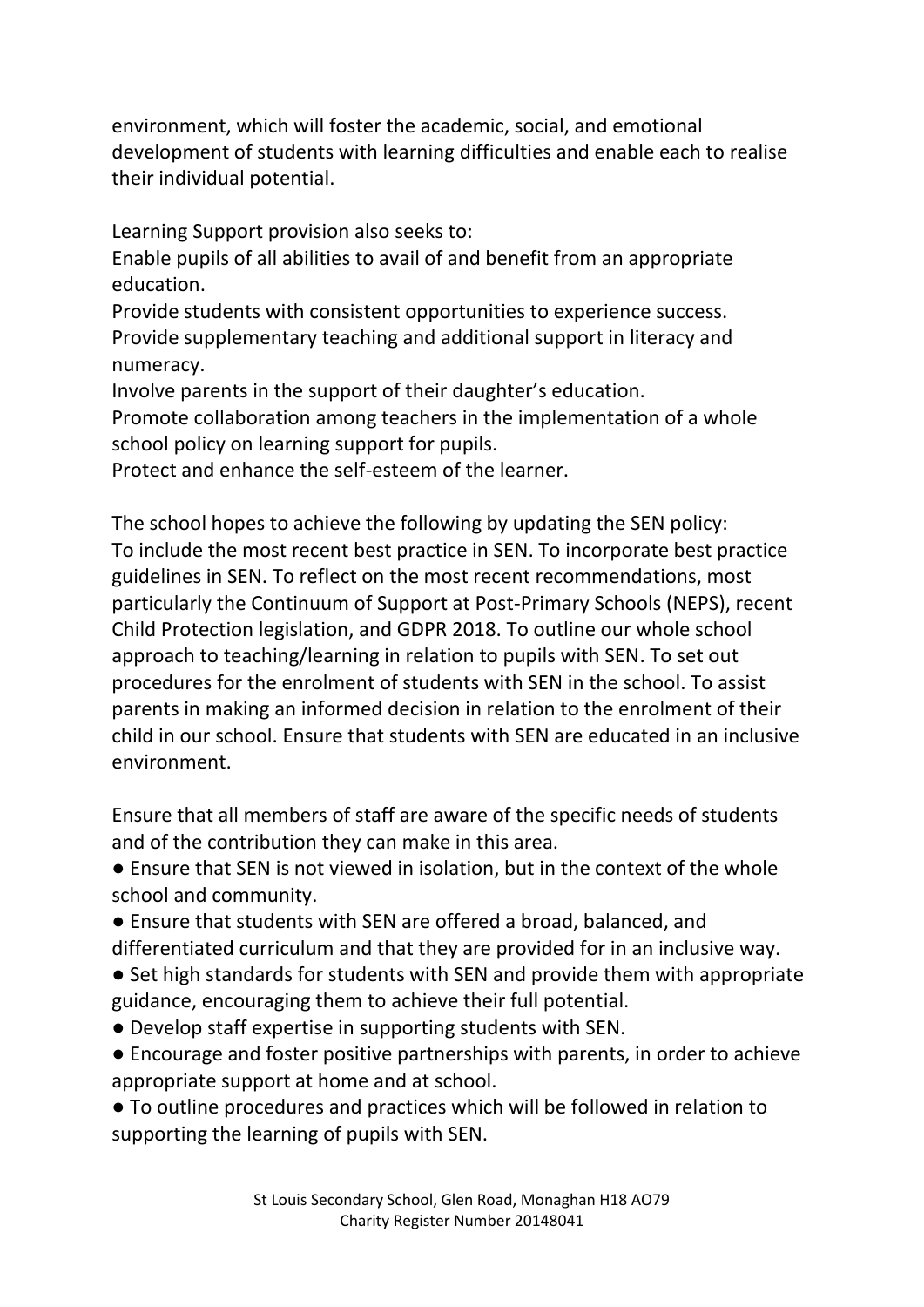environment, which will foster the academic, social, and emotional development of students with learning difficulties and enable each to realise their individual potential.

Learning Support provision also seeks to:

Enable pupils of all abilities to avail of and benefit from an appropriate education.

Provide students with consistent opportunities to experience success. Provide supplementary teaching and additional support in literacy and numeracy.

Involve parents in the support of their daughter's education.

Promote collaboration among teachers in the implementation of a whole school policy on learning support for pupils.

Protect and enhance the self-esteem of the learner.

The school hopes to achieve the following by updating the SEN policy: To include the most recent best practice in SEN. To incorporate best practice guidelines in SEN. To reflect on the most recent recommendations, most particularly the Continuum of Support at Post-Primary Schools (NEPS), recent Child Protection legislation, and GDPR 2018. To outline our whole school approach to teaching/learning in relation to pupils with SEN. To set out procedures for the enrolment of students with SEN in the school. To assist parents in making an informed decision in relation to the enrolment of their child in our school. Ensure that students with SEN are educated in an inclusive environment.

Ensure that all members of staff are aware of the specific needs of students and of the contribution they can make in this area.

● Ensure that SEN is not viewed in isolation, but in the context of the whole school and community.

● Ensure that students with SEN are offered a broad, balanced, and

- differentiated curriculum and that they are provided for in an inclusive way. ● Set high standards for students with SEN and provide them with appropriate guidance, encouraging them to achieve their full potential.
- Develop staff expertise in supporting students with SEN.
- Encourage and foster positive partnerships with parents, in order to achieve appropriate support at home and at school.

● To outline procedures and practices which will be followed in relation to supporting the learning of pupils with SEN.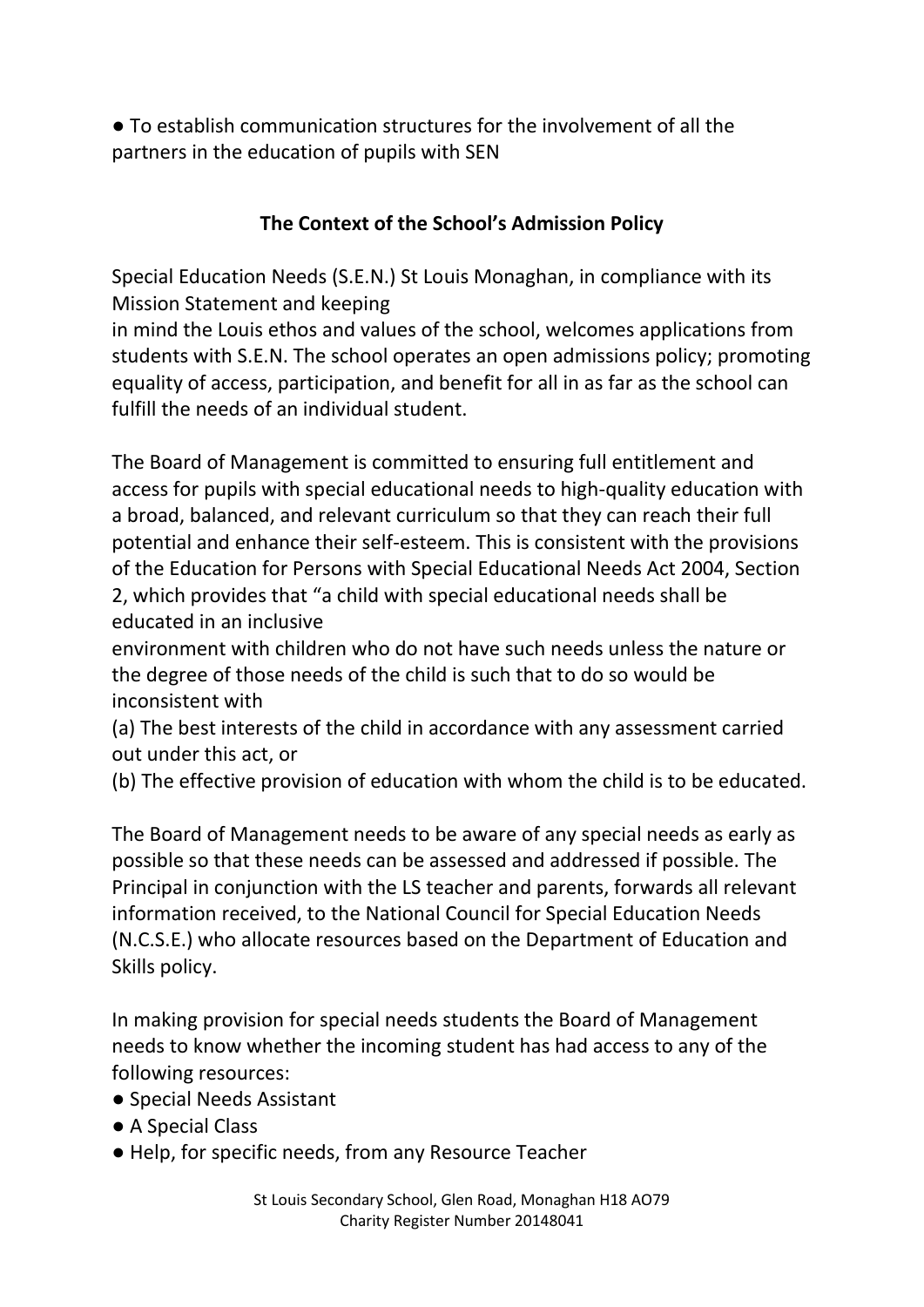● To establish communication structures for the involvement of all the partners in the education of pupils with SEN

## **The Context of the School's Admission Policy**

Special Education Needs (S.E.N.) St Louis Monaghan, in compliance with its Mission Statement and keeping

in mind the Louis ethos and values of the school, welcomes applications from students with S.E.N. The school operates an open admissions policy; promoting equality of access, participation, and benefit for all in as far as the school can fulfill the needs of an individual student.

The Board of Management is committed to ensuring full entitlement and access for pupils with special educational needs to high-quality education with a broad, balanced, and relevant curriculum so that they can reach their full potential and enhance their self-esteem. This is consistent with the provisions of the Education for Persons with Special Educational Needs Act 2004, Section 2, which provides that "a child with special educational needs shall be educated in an inclusive

environment with children who do not have such needs unless the nature or the degree of those needs of the child is such that to do so would be inconsistent with

(a) The best interests of the child in accordance with any assessment carried out under this act, or

(b) The effective provision of education with whom the child is to be educated.

The Board of Management needs to be aware of any special needs as early as possible so that these needs can be assessed and addressed if possible. The Principal in conjunction with the LS teacher and parents, forwards all relevant information received, to the National Council for Special Education Needs (N.C.S.E.) who allocate resources based on the Department of Education and Skills policy.

In making provision for special needs students the Board of Management needs to know whether the incoming student has had access to any of the following resources:

- Special Needs Assistant
- A Special Class
- Help, for specific needs, from any Resource Teacher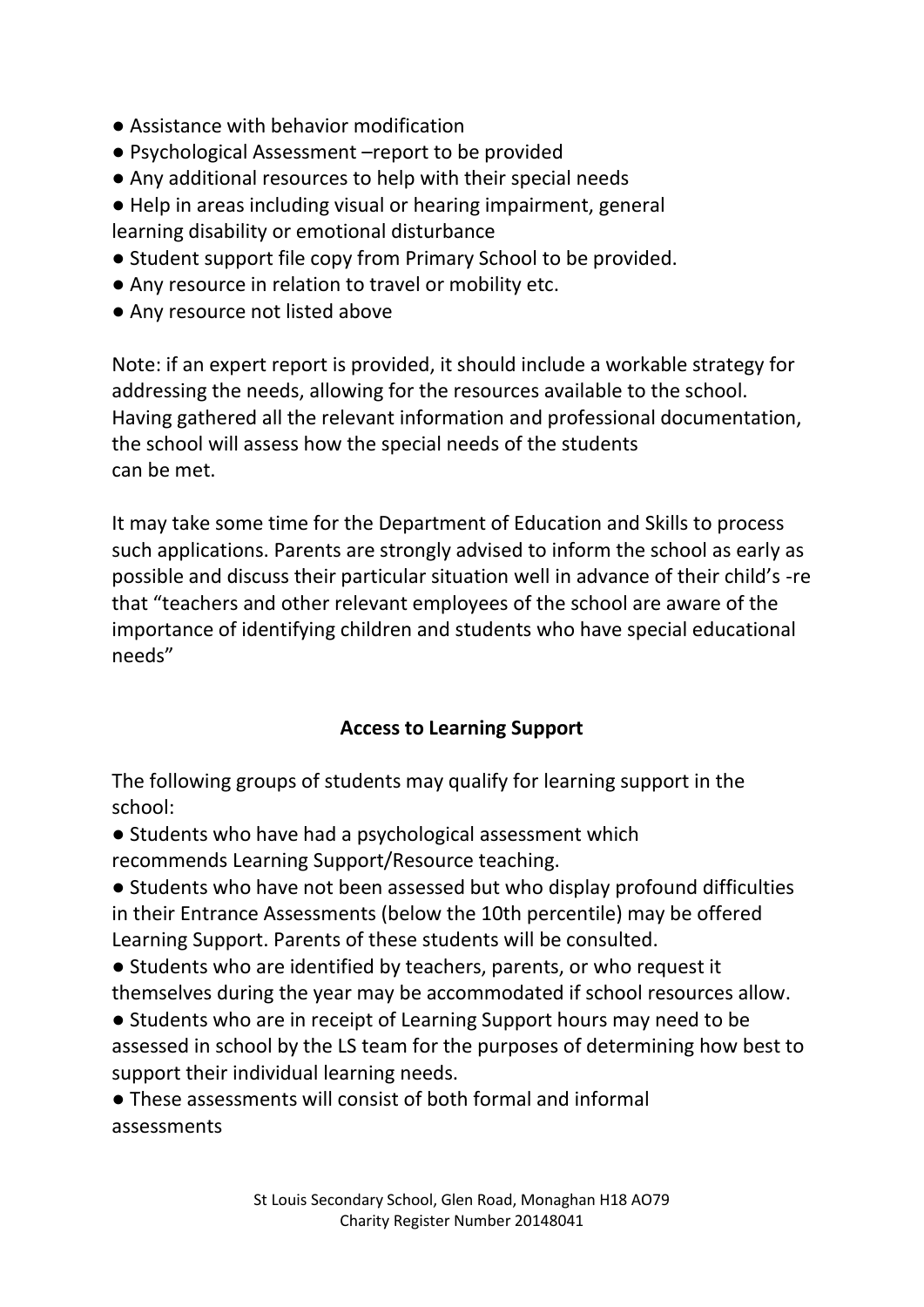- Assistance with behavior modification
- Psychological Assessment –report to be provided
- Any additional resources to help with their special needs
- Help in areas including visual or hearing impairment, general learning disability or emotional disturbance
- Student support file copy from Primary School to be provided.
- Any resource in relation to travel or mobility etc.
- Any resource not listed above

Note: if an expert report is provided, it should include a workable strategy for addressing the needs, allowing for the resources available to the school. Having gathered all the relevant information and professional documentation, the school will assess how the special needs of the students can be met.

It may take some time for the Department of Education and Skills to process such applications. Parents are strongly advised to inform the school as early as possible and discuss their particular situation well in advance of their child's -re that "teachers and other relevant employees of the school are aware of the importance of identifying children and students who have special educational needs"

#### **Access to Learning Support**

The following groups of students may qualify for learning support in the school:

- Students who have had a psychological assessment which recommends Learning Support/Resource teaching.
- Students who have not been assessed but who display profound difficulties in their Entrance Assessments (below the 10th percentile) may be offered Learning Support. Parents of these students will be consulted.
- Students who are identified by teachers, parents, or who request it themselves during the year may be accommodated if school resources allow.
- Students who are in receipt of Learning Support hours may need to be assessed in school by the LS team for the purposes of determining how best to support their individual learning needs.

● These assessments will consist of both formal and informal assessments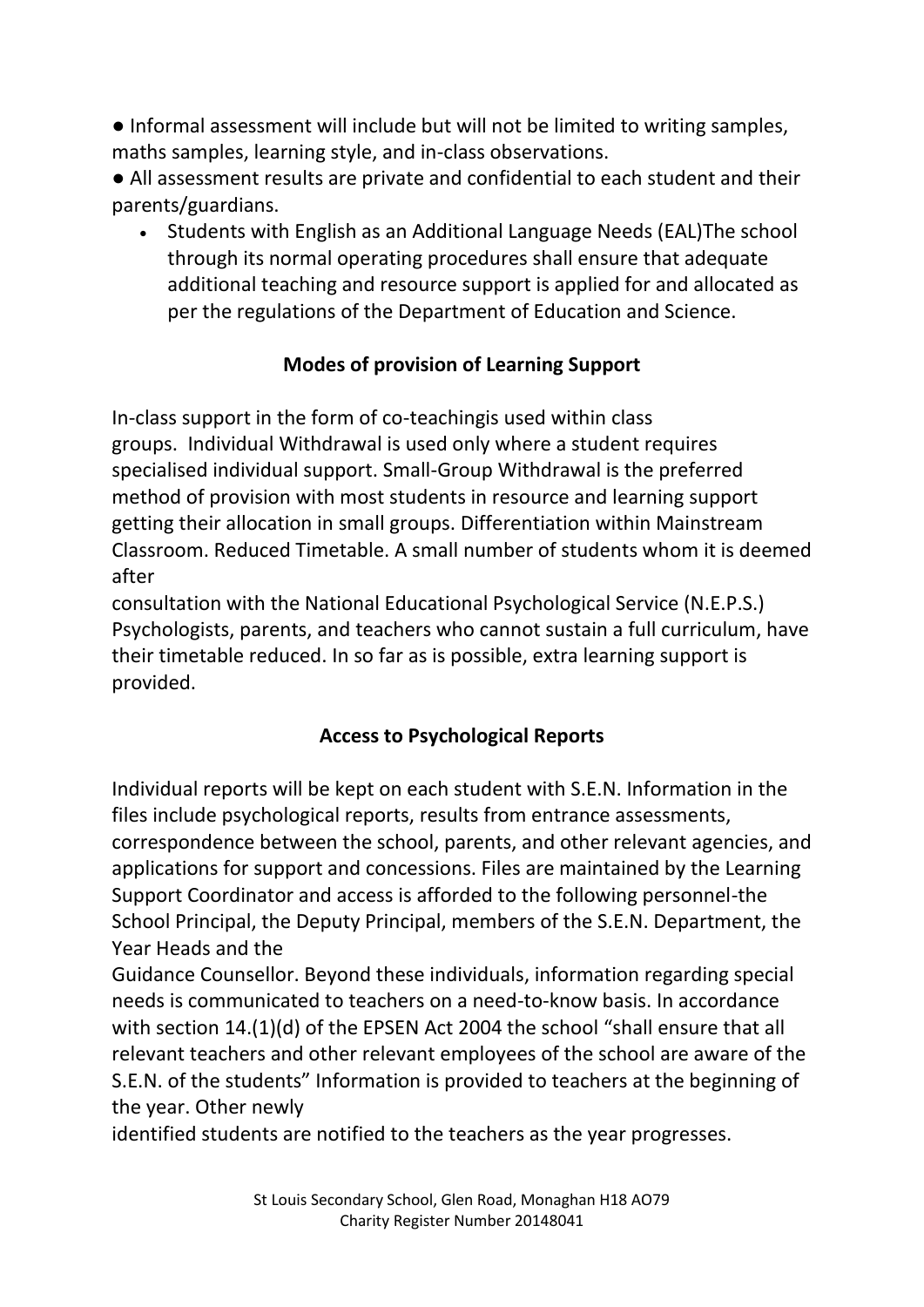● Informal assessment will include but will not be limited to writing samples, maths samples, learning style, and in-class observations.

● All assessment results are private and confidential to each student and their parents/guardians.

• Students with English as an Additional Language Needs (EAL)The school through its normal operating procedures shall ensure that adequate additional teaching and resource support is applied for and allocated as per the regulations of the Department of Education and Science.

## **Modes of provision of Learning Support**

In-class support in the form of co-teachingis used within class groups. Individual Withdrawal is used only where a student requires specialised individual support. Small-Group Withdrawal is the preferred method of provision with most students in resource and learning support getting their allocation in small groups. Differentiation within Mainstream Classroom. Reduced Timetable. A small number of students whom it is deemed after

consultation with the National Educational Psychological Service (N.E.P.S.) Psychologists, parents, and teachers who cannot sustain a full curriculum, have their timetable reduced. In so far as is possible, extra learning support is provided.

#### **Access to Psychological Reports**

Individual reports will be kept on each student with S.E.N. Information in the files include psychological reports, results from entrance assessments, correspondence between the school, parents, and other relevant agencies, and applications for support and concessions. Files are maintained by the Learning Support Coordinator and access is afforded to the following personnel-the School Principal, the Deputy Principal, members of the S.E.N. Department, the Year Heads and the

Guidance Counsellor. Beyond these individuals, information regarding special needs is communicated to teachers on a need-to-know basis. In accordance with section 14.(1)(d) of the EPSEN Act 2004 the school "shall ensure that all relevant teachers and other relevant employees of the school are aware of the S.E.N. of the students" Information is provided to teachers at the beginning of the year. Other newly

identified students are notified to the teachers as the year progresses.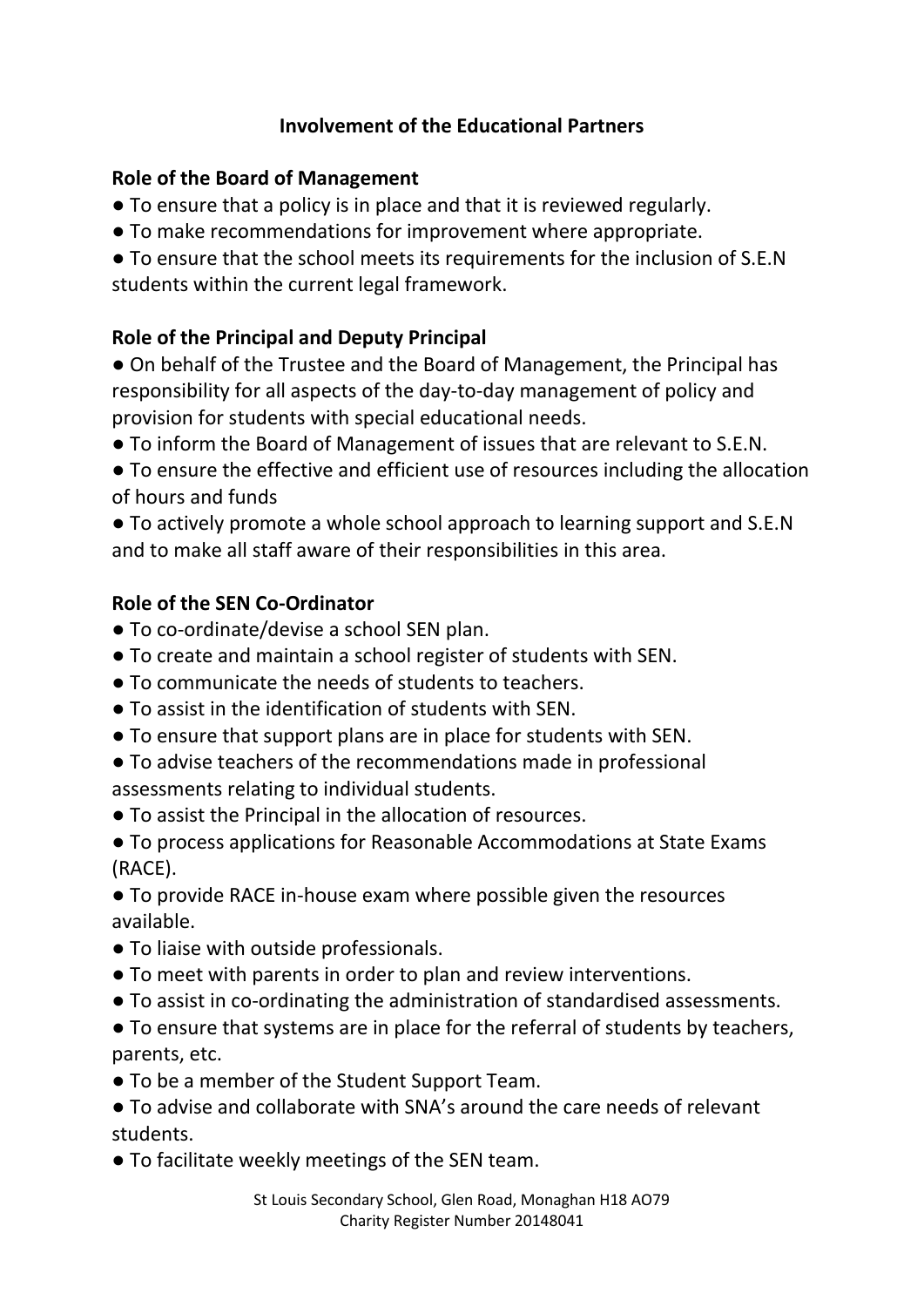## **Involvement of the Educational Partners**

#### **Role of the Board of Management**

- To ensure that a policy is in place and that it is reviewed regularly.
- To make recommendations for improvement where appropriate.
- To ensure that the school meets its requirements for the inclusion of S.E.N students within the current legal framework.

#### **Role of the Principal and Deputy Principal**

● On behalf of the Trustee and the Board of Management, the Principal has responsibility for all aspects of the day-to-day management of policy and provision for students with special educational needs.

● To inform the Board of Management of issues that are relevant to S.E.N.

● To ensure the effective and efficient use of resources including the allocation of hours and funds

● To actively promote a whole school approach to learning support and S.E.N and to make all staff aware of their responsibilities in this area.

#### **Role of the SEN Co-Ordinator**

- To co-ordinate/devise a school SEN plan.
- To create and maintain a school register of students with SEN.
- To communicate the needs of students to teachers.
- To assist in the identification of students with SEN.
- To ensure that support plans are in place for students with SEN.
- To advise teachers of the recommendations made in professional assessments relating to individual students.
- To assist the Principal in the allocation of resources.
- To process applications for Reasonable Accommodations at State Exams (RACE).

● To provide RACE in-house exam where possible given the resources available.

- To liaise with outside professionals.
- To meet with parents in order to plan and review interventions.
- To assist in co-ordinating the administration of standardised assessments.

● To ensure that systems are in place for the referral of students by teachers, parents, etc.

● To be a member of the Student Support Team.

● To advise and collaborate with SNA's around the care needs of relevant students.

● To facilitate weekly meetings of the SEN team.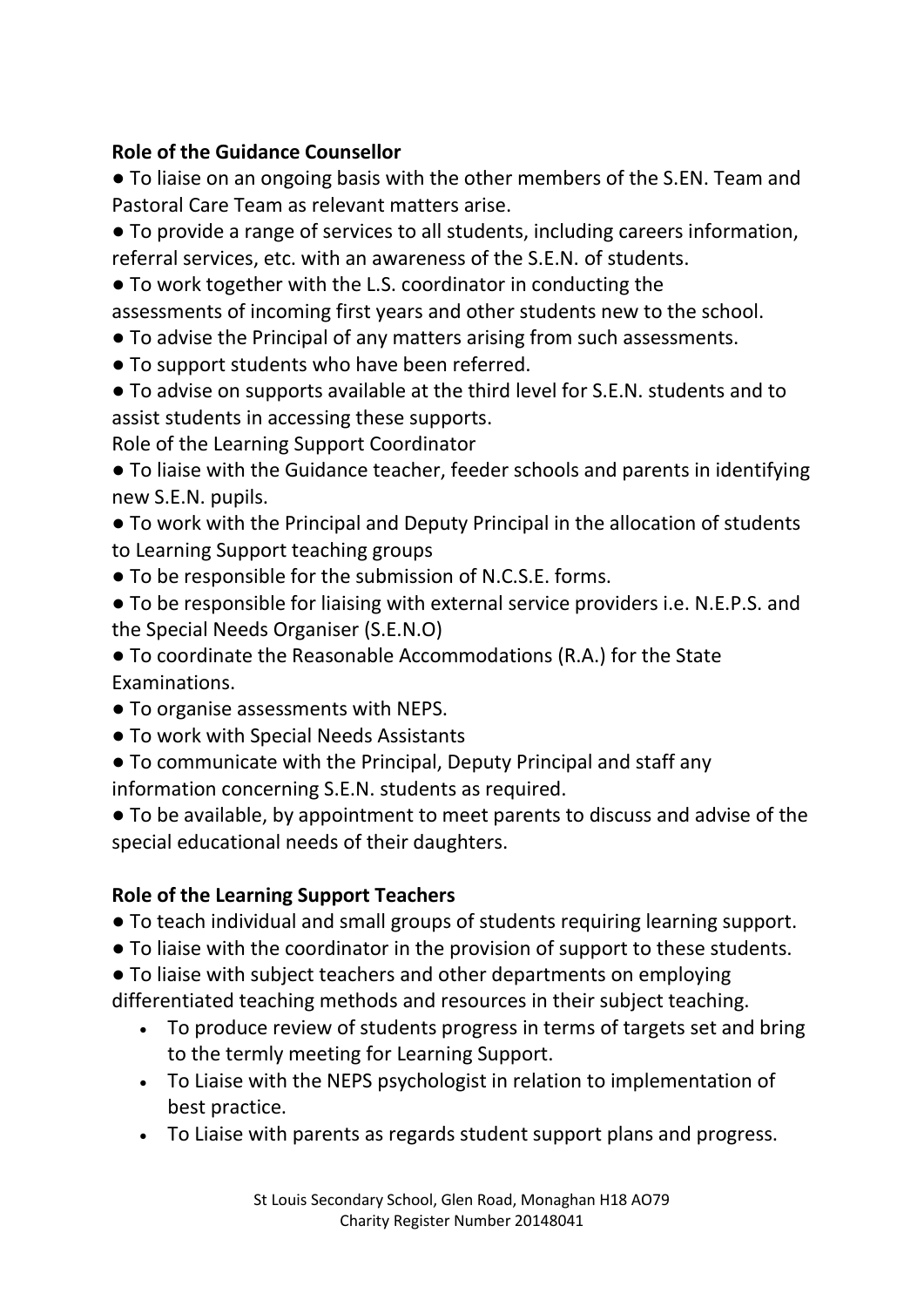## **Role of the Guidance Counsellor**

● To liaise on an ongoing basis with the other members of the S.EN. Team and Pastoral Care Team as relevant matters arise.

● To provide a range of services to all students, including careers information, referral services, etc. with an awareness of the S.E.N. of students.

● To work together with the L.S. coordinator in conducting the

assessments of incoming first years and other students new to the school.

- To advise the Principal of any matters arising from such assessments.
- To support students who have been referred.
- To advise on supports available at the third level for S.E.N. students and to assist students in accessing these supports.

Role of the Learning Support Coordinator

● To liaise with the Guidance teacher, feeder schools and parents in identifying new S.E.N. pupils.

● To work with the Principal and Deputy Principal in the allocation of students to Learning Support teaching groups

- To be responsible for the submission of N.C.S.E. forms.
- To be responsible for liaising with external service providers i.e. N.E.P.S. and the Special Needs Organiser (S.E.N.O)

● To coordinate the Reasonable Accommodations (R.A.) for the State Examinations.

- To organise assessments with NEPS.
- To work with Special Needs Assistants
- To communicate with the Principal, Deputy Principal and staff any information concerning S.E.N. students as required.

● To be available, by appointment to meet parents to discuss and advise of the special educational needs of their daughters.

# **Role of the Learning Support Teachers**

- To teach individual and small groups of students requiring learning support.
- To liaise with the coordinator in the provision of support to these students.
- To liaise with subject teachers and other departments on employing

differentiated teaching methods and resources in their subject teaching.

- To produce review of students progress in terms of targets set and bring to the termly meeting for Learning Support.
- To Liaise with the NEPS psychologist in relation to implementation of best practice.
- To Liaise with parents as regards student support plans and progress.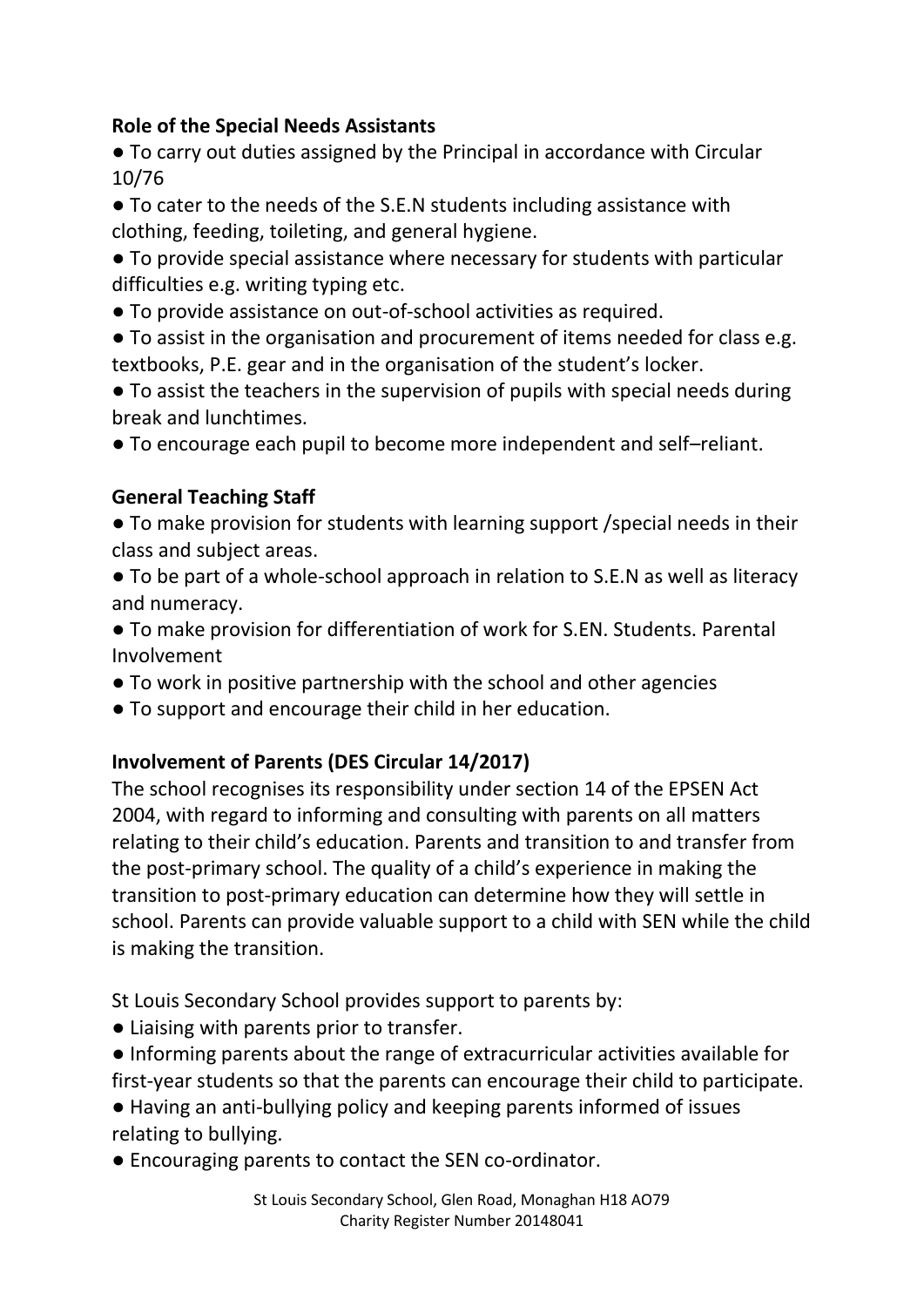## **Role of the Special Needs Assistants**

● To carry out duties assigned by the Principal in accordance with Circular 10/76

● To cater to the needs of the S.E.N students including assistance with clothing, feeding, toileting, and general hygiene.

● To provide special assistance where necessary for students with particular difficulties e.g. writing typing etc.

● To provide assistance on out-of-school activities as required.

● To assist in the organisation and procurement of items needed for class e.g. textbooks, P.E. gear and in the organisation of the student's locker.

● To assist the teachers in the supervision of pupils with special needs during break and lunchtimes.

● To encourage each pupil to become more independent and self–reliant.

# **General Teaching Staff**

● To make provision for students with learning support /special needs in their class and subject areas.

● To be part of a whole-school approach in relation to S.E.N as well as literacy and numeracy.

● To make provision for differentiation of work for S.EN. Students. Parental Involvement

- To work in positive partnership with the school and other agencies
- To support and encourage their child in her education.

# **Involvement of Parents (DES Circular 14/2017)**

The school recognises its responsibility under section 14 of the EPSEN Act 2004, with regard to informing and consulting with parents on all matters relating to their child's education. Parents and transition to and transfer from the post-primary school. The quality of a child's experience in making the transition to post-primary education can determine how they will settle in school. Parents can provide valuable support to a child with SEN while the child is making the transition.

St Louis Secondary School provides support to parents by:

- Liaising with parents prior to transfer.
- Informing parents about the range of extracurricular activities available for first-year students so that the parents can encourage their child to participate.
- Having an anti-bullying policy and keeping parents informed of issues relating to bullying.
- Encouraging parents to contact the SEN co-ordinator.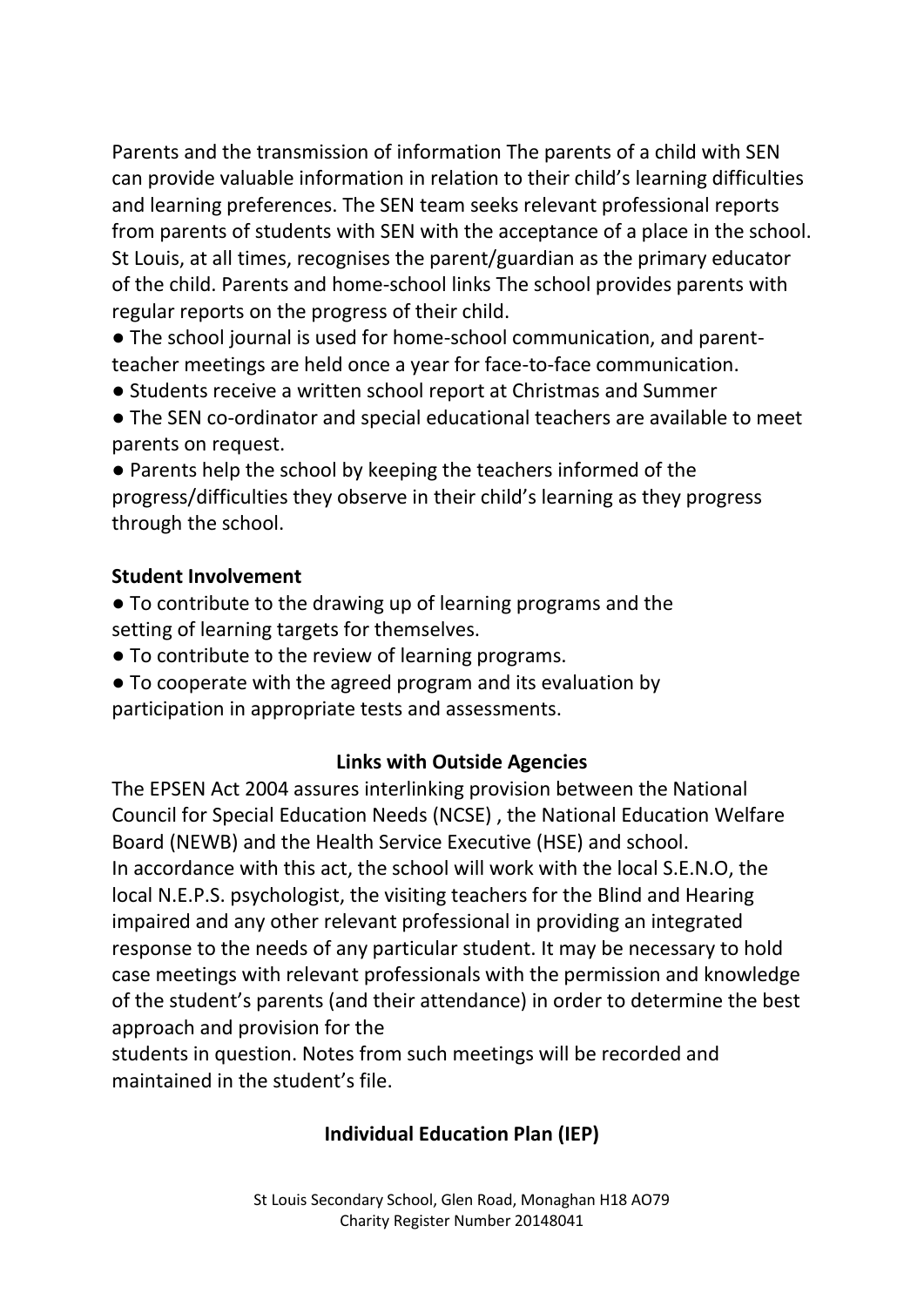Parents and the transmission of information The parents of a child with SEN can provide valuable information in relation to their child's learning difficulties and learning preferences. The SEN team seeks relevant professional reports from parents of students with SEN with the acceptance of a place in the school. St Louis, at all times, recognises the parent/guardian as the primary educator of the child. Parents and home-school links The school provides parents with regular reports on the progress of their child.

● The school journal is used for home-school communication, and parentteacher meetings are held once a year for face-to-face communication.

- Students receive a written school report at Christmas and Summer
- The SEN co-ordinator and special educational teachers are available to meet parents on request.

● Parents help the school by keeping the teachers informed of the progress/difficulties they observe in their child's learning as they progress through the school.

#### **Student Involvement**

- To contribute to the drawing up of learning programs and the setting of learning targets for themselves.
- To contribute to the review of learning programs.
- To cooperate with the agreed program and its evaluation by
- participation in appropriate tests and assessments.

#### **Links with Outside Agencies**

The EPSEN Act 2004 assures interlinking provision between the National Council for Special Education Needs (NCSE) , the National Education Welfare Board (NEWB) and the Health Service Executive (HSE) and school. In accordance with this act, the school will work with the local S.E.N.O, the local N.E.P.S. psychologist, the visiting teachers for the Blind and Hearing impaired and any other relevant professional in providing an integrated response to the needs of any particular student. It may be necessary to hold case meetings with relevant professionals with the permission and knowledge of the student's parents (and their attendance) in order to determine the best approach and provision for the

students in question. Notes from such meetings will be recorded and maintained in the student's file.

# **Individual Education Plan (IEP)**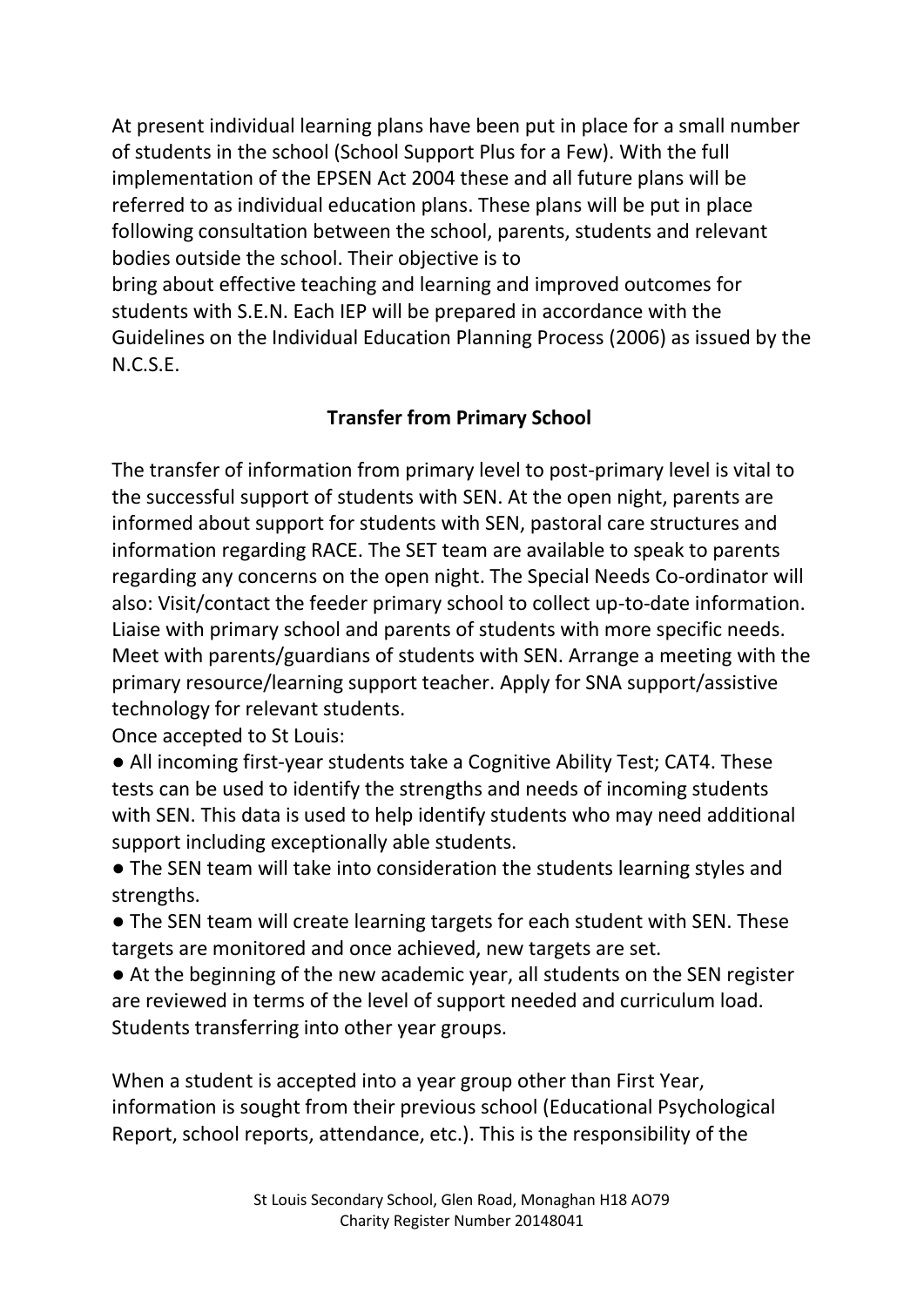At present individual learning plans have been put in place for a small number of students in the school (School Support Plus for a Few). With the full implementation of the EPSEN Act 2004 these and all future plans will be referred to as individual education plans. These plans will be put in place following consultation between the school, parents, students and relevant bodies outside the school. Their objective is to bring about effective teaching and learning and improved outcomes for

students with S.E.N. Each IEP will be prepared in accordance with the Guidelines on the Individual Education Planning Process (2006) as issued by the N.C.S.E.

# **Transfer from Primary School**

The transfer of information from primary level to post-primary level is vital to the successful support of students with SEN. At the open night, parents are informed about support for students with SEN, pastoral care structures and information regarding RACE. The SET team are available to speak to parents regarding any concerns on the open night. The Special Needs Co-ordinator will also: Visit/contact the feeder primary school to collect up-to-date information. Liaise with primary school and parents of students with more specific needs. Meet with parents/guardians of students with SEN. Arrange a meeting with the primary resource/learning support teacher. Apply for SNA support/assistive technology for relevant students.

Once accepted to St Louis:

• All incoming first-year students take a Cognitive Ability Test; CAT4. These tests can be used to identify the strengths and needs of incoming students with SEN. This data is used to help identify students who may need additional support including exceptionally able students.

• The SEN team will take into consideration the students learning styles and strengths.

• The SEN team will create learning targets for each student with SEN. These targets are monitored and once achieved, new targets are set.

● At the beginning of the new academic year, all students on the SEN register are reviewed in terms of the level of support needed and curriculum load. Students transferring into other year groups.

When a student is accepted into a year group other than First Year, information is sought from their previous school (Educational Psychological Report, school reports, attendance, etc.). This is the responsibility of the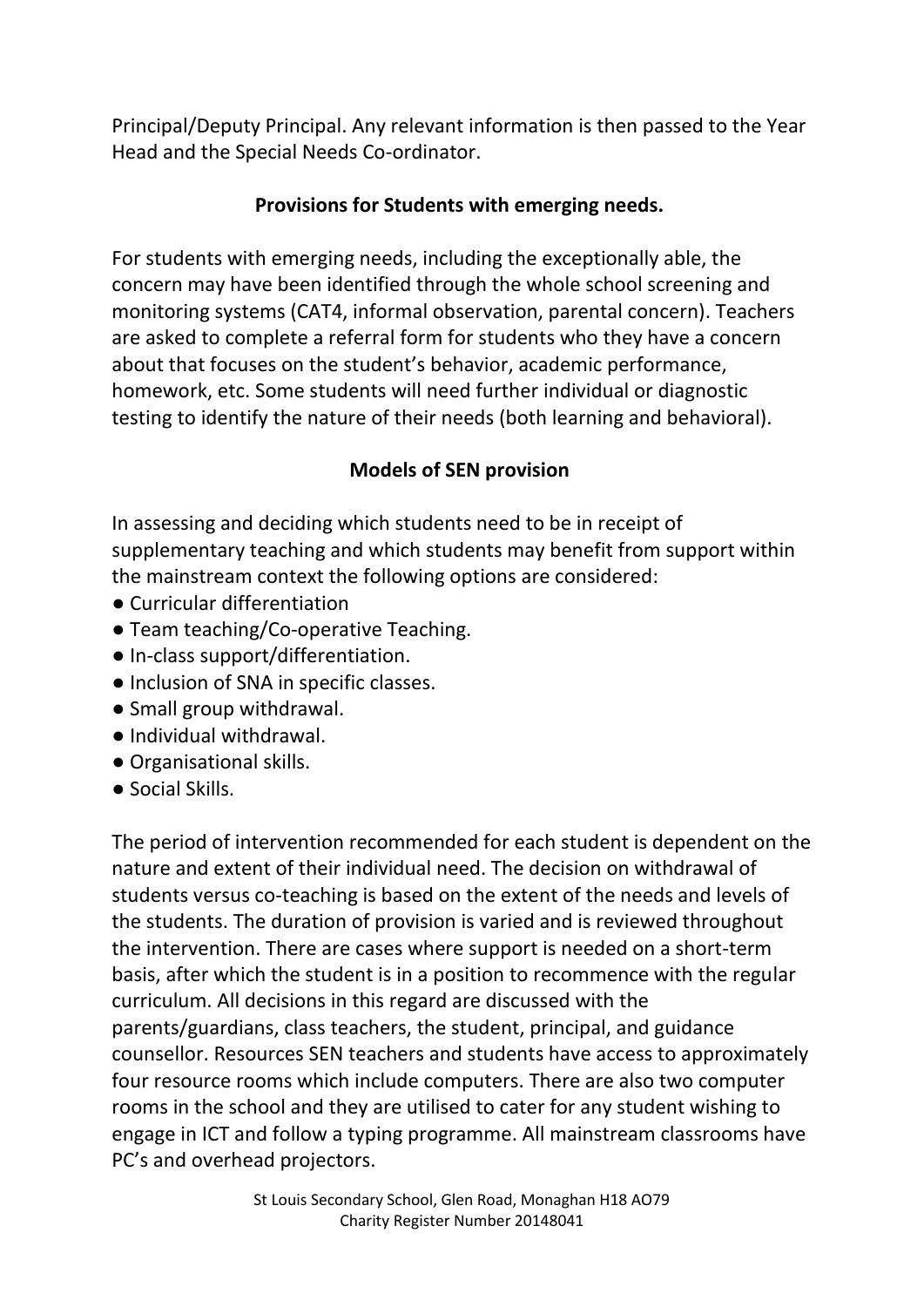Principal/Deputy Principal. Any relevant information is then passed to the Year Head and the Special Needs Co-ordinator.

## **Provisions for Students with emerging needs.**

For students with emerging needs, including the exceptionally able, the concern may have been identified through the whole school screening and monitoring systems (CAT4, informal observation, parental concern). Teachers are asked to complete a referral form for students who they have a concern about that focuses on the student's behavior, academic performance, homework, etc. Some students will need further individual or diagnostic testing to identify the nature of their needs (both learning and behavioral).

## **Models of SEN provision**

In assessing and deciding which students need to be in receipt of supplementary teaching and which students may benefit from support within the mainstream context the following options are considered:

- Curricular differentiation
- Team teaching/Co-operative Teaching.
- In-class support/differentiation.
- Inclusion of SNA in specific classes.
- Small group withdrawal.
- Individual withdrawal.
- Organisational skills.
- Social Skills.

The period of intervention recommended for each student is dependent on the nature and extent of their individual need. The decision on withdrawal of students versus co-teaching is based on the extent of the needs and levels of the students. The duration of provision is varied and is reviewed throughout the intervention. There are cases where support is needed on a short-term basis, after which the student is in a position to recommence with the regular curriculum. All decisions in this regard are discussed with the parents/guardians, class teachers, the student, principal, and guidance counsellor. Resources SEN teachers and students have access to approximately four resource rooms which include computers. There are also two computer rooms in the school and they are utilised to cater for any student wishing to engage in ICT and follow a typing programme. All mainstream classrooms have PC's and overhead projectors.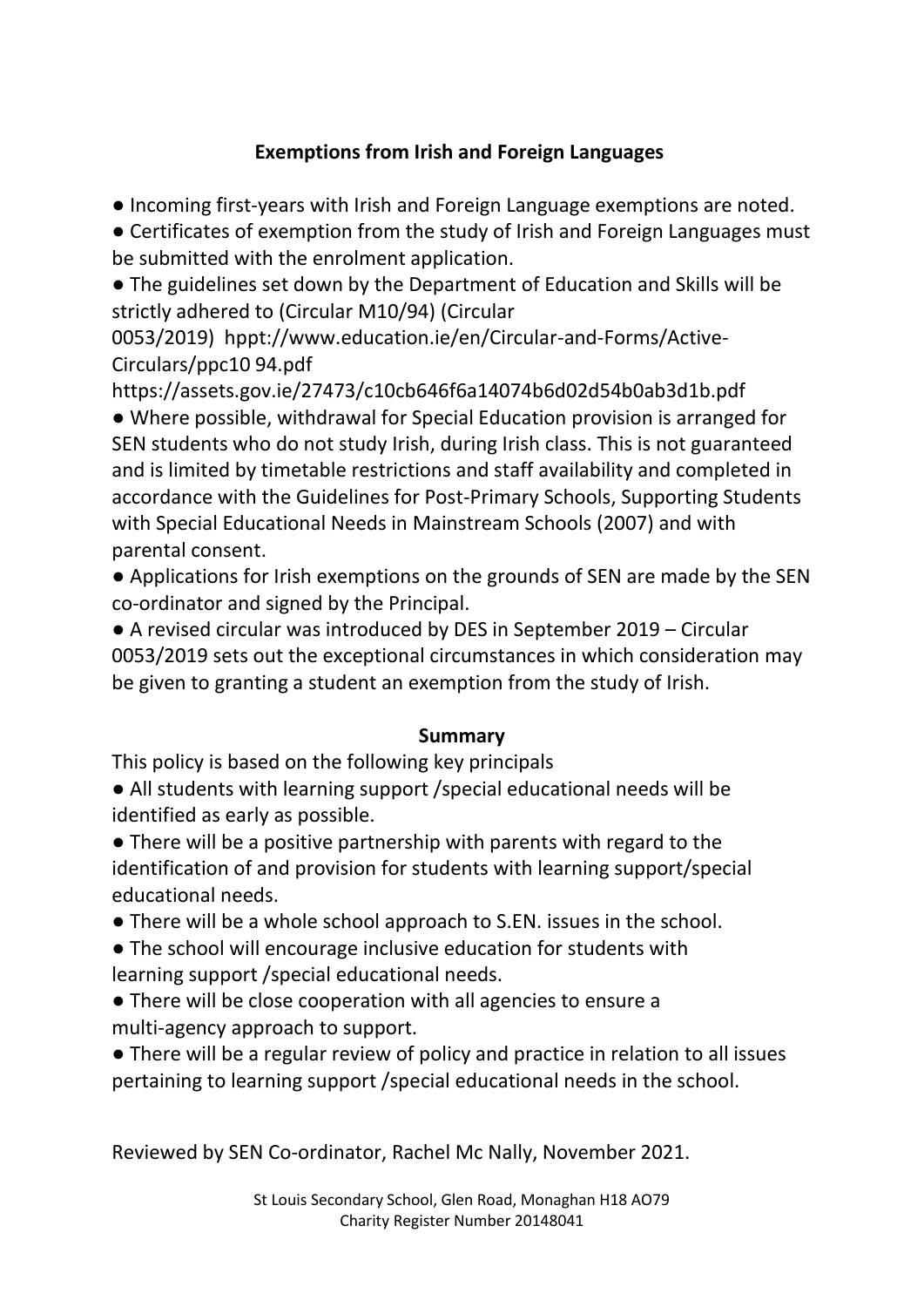# **Exemptions from Irish and Foreign Languages**

● Incoming first-years with Irish and Foreign Language exemptions are noted.

● Certificates of exemption from the study of Irish and Foreign Languages must be submitted with the enrolment application.

● The guidelines set down by the Department of Education and Skills will be strictly adhered to (Circular M10/94) (Circular

0053/2019) hppt://www.education.ie/en/Circular-and-Forms/Active-Circulars/ppc10 94.pdf

https://assets.gov.ie/27473/c10cb646f6a14074b6d02d54b0ab3d1b.pdf

● Where possible, withdrawal for Special Education provision is arranged for SEN students who do not study Irish, during Irish class. This is not guaranteed and is limited by timetable restrictions and staff availability and completed in accordance with the Guidelines for Post-Primary Schools, Supporting Students with Special Educational Needs in Mainstream Schools (2007) and with parental consent.

● Applications for Irish exemptions on the grounds of SEN are made by the SEN co-ordinator and signed by the Principal.

● A revised circular was introduced by DES in September 2019 – Circular 0053/2019 sets out the exceptional circumstances in which consideration may be given to granting a student an exemption from the study of Irish.

#### **Summary**

This policy is based on the following key principals

● All students with learning support /special educational needs will be identified as early as possible.

● There will be a positive partnership with parents with regard to the identification of and provision for students with learning support/special educational needs.

● There will be a whole school approach to S.EN. issues in the school.

● The school will encourage inclusive education for students with learning support /special educational needs.

● There will be close cooperation with all agencies to ensure a multi-agency approach to support.

● There will be a regular review of policy and practice in relation to all issues pertaining to learning support /special educational needs in the school.

Reviewed by SEN Co-ordinator, Rachel Mc Nally, November 2021.